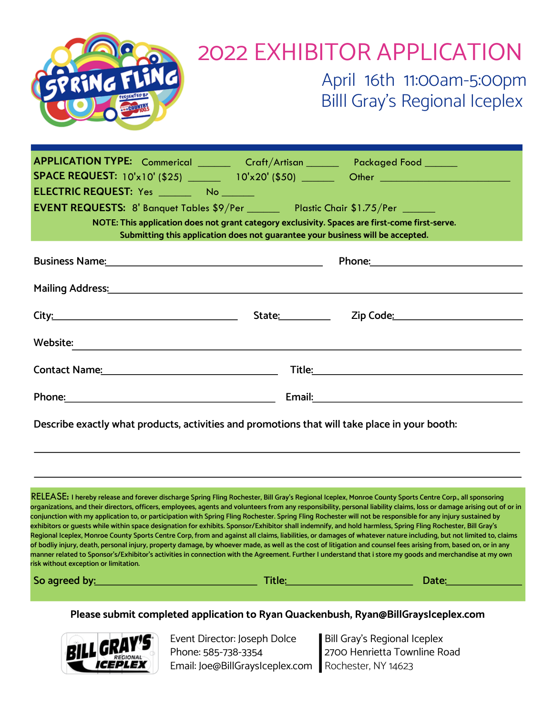

| APPLICATION TYPE: Commerical _______ Craft/Artisan ______ Packaged Food ______                                                                                                                                                 |                   |                                                                                                               |  |
|--------------------------------------------------------------------------------------------------------------------------------------------------------------------------------------------------------------------------------|-------------------|---------------------------------------------------------------------------------------------------------------|--|
|                                                                                                                                                                                                                                |                   |                                                                                                               |  |
|                                                                                                                                                                                                                                |                   |                                                                                                               |  |
| EVENT REQUESTS: 8' Banquet Tables \$9/Per ________ Plastic Chair \$1.75/Per ______                                                                                                                                             |                   |                                                                                                               |  |
| NOTE: This application does not grant category exclusivity. Spaces are first-come first-serve.<br>Submitting this application does not guarantee your business will be accepted.                                               |                   |                                                                                                               |  |
| Business Name: Name: 2008 and 2012 and 2012 and 2012 and 2012 and 2012 and 2012 and 2012 and 2012 and 2012 and 2012 and 2012 and 2012 and 2012 and 2012 and 2012 and 2012 and 2012 and 2012 and 2012 and 2012 and 2012 and 201 |                   | Phone: 2008 2010 2010 2010 2010 2011 2021 2022 2023 2024 2025 2026 2027 2028 2029 2020 2021 2022 2023 2024 20 |  |
| Mailing Address: National Address: National Address: National Address: National Address: National Address: National Address: National Address: National Address: National Address: National Address: National Address: Nationa |                   |                                                                                                               |  |
|                                                                                                                                                                                                                                | State:___________ | Zip Code: National According Code: National According Code: National According Code: National According Code: |  |
| Website:                                                                                                                                                                                                                       |                   |                                                                                                               |  |
|                                                                                                                                                                                                                                |                   |                                                                                                               |  |
|                                                                                                                                                                                                                                |                   |                                                                                                               |  |

**Describe exactly what products, activities and promotions that will take place in your booth:**

 **I hereby release and forever discharge Spring Fling Rochester, Bill Gray's Regional Iceplex, Monroe County Sports Centre Corp., all sponsoring** RELEASE: **organizations, and their directors, officers, employees, agents and volunteers from any responsibility, personal liability claims, loss or damage arising out of or in conjunction with my application to, or participation with Spring Fling Rochester. Spring Fling Rochester will not be responsible for any injury sustained by exhibitors or guests while within space designation for exhibits. Sponsor/Exhibitor shall indemnify, and hold harmless, Spring Fling Rochester, Bill Gray's Regional Iceplex, Monroe County Sports Centre Corp, from and against all claims, liabilities, or damages of whatever nature including, but not limited to, claims of bodliy injury, death, personal injury, property damage, by whoever made, as well as the cost of litigation and counsel fees arising from, based on, or in any manner related to Sponsor's/Exhibitor's activities in connection with the Agreement. Further I understand that i store my goods and merchandise at my own risk without exception or limitation.**

| So agreed by: | <b>Title:</b> | Date: |
|---------------|---------------|-------|
|---------------|---------------|-------|

**Please submit completed application to Ryan Quackenbush, Ryan@BillGraysIceplex.com**



Event Director: Joseph Dolce Phone: 585-738-3354 Email: Joe@BillGraysIceplex.com Rochester, NY 14623

Bill Gray's Regional Iceplex 2700 Henrietta Townline Road